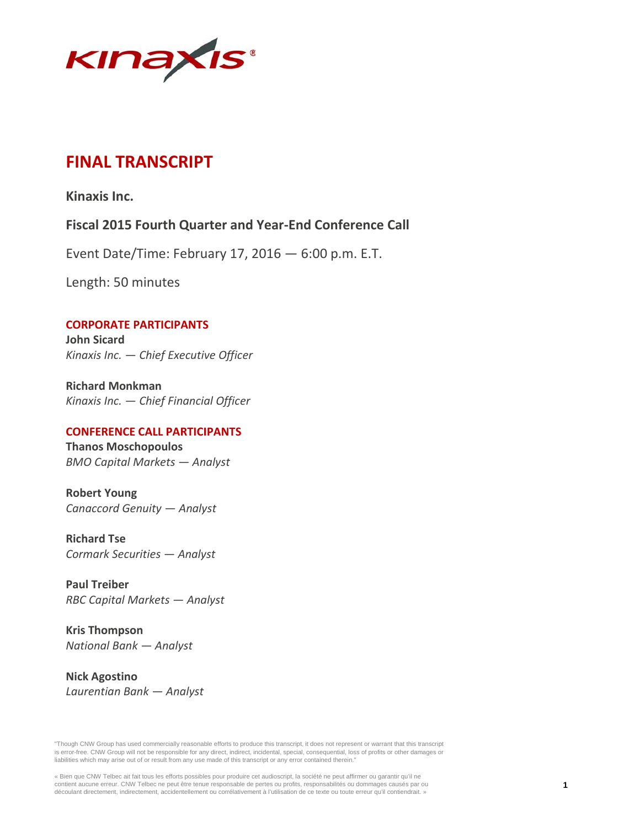

**Kinaxis Inc.**

# **Fiscal 2015 Fourth Quarter and Year-End Conference Call**

Event Date/Time: February 17, 2016 — 6:00 p.m. E.T.

Length: 50 minutes

# **CORPORATE PARTICIPANTS**

**John Sicard** *Kinaxis Inc. — Chief Executive Officer*

**Richard Monkman** *Kinaxis Inc. — Chief Financial Officer*

# **CONFERENCE CALL PARTICIPANTS**

**Thanos Moschopoulos** *BMO Capital Markets — Analyst*

**Robert Young** *Canaccord Genuity — Analyst*

**Richard Tse** *Cormark Securities — Analyst*

**Paul Treiber** *RBC Capital Markets — Analyst*

**Kris Thompson** *National Bank — Analyst*

**Nick Agostino** *Laurentian Bank — Analyst*

"Though CNW Group has used commercially reasonable efforts to produce this transcript, it does not represent or warrant that this transcript is error-free. CNW Group will not be responsible for any direct, indirect, incidental, special, consequential, loss of profits or other damages or liabilities which may arise out of or result from any use made of this transcript or any error contained therein."

« Bien que CNW Telbec ait fait tous les efforts possibles pour produire cet audioscript, la société ne peut affirmer ou garantir qu'il ne contient aucune erreur. CNW Telbec ne peut être tenue responsable de pertes ou profits, responsabilités ou dommages causés par ou découlant directement, indirectement, accidentellement ou corrélativement à l'utilisation de ce texte ou toute erreur qu'il contiendrait. »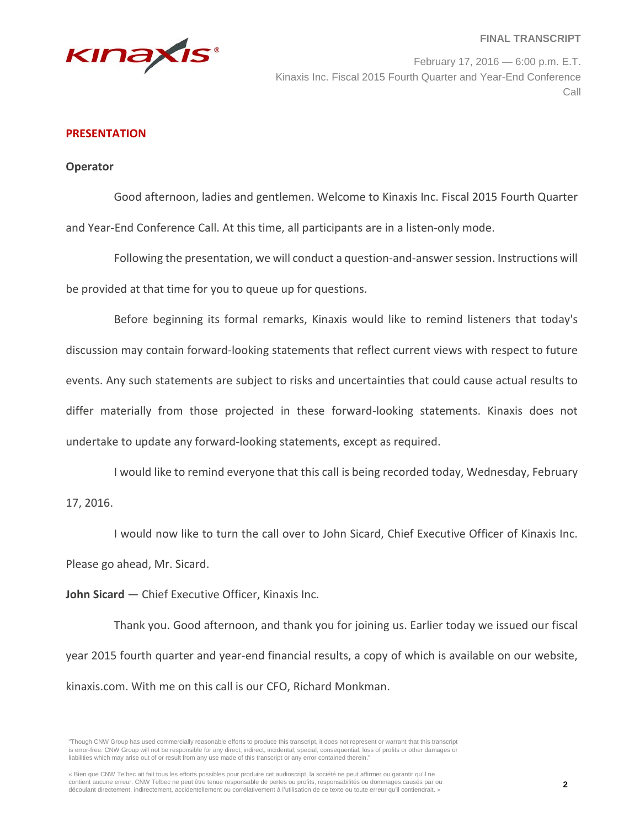

February 17, 2016 — 6:00 p.m. E.T. Kinaxis Inc. Fiscal 2015 Fourth Quarter and Year-End Conference Call

# **PRESENTATION**

### **Operator**

Good afternoon, ladies and gentlemen. Welcome to Kinaxis Inc. Fiscal 2015 Fourth Quarter and Year-End Conference Call. At this time, all participants are in a listen-only mode.

Following the presentation, we will conduct a question-and-answer session. Instructions will be provided at that time for you to queue up for questions.

Before beginning its formal remarks, Kinaxis would like to remind listeners that today's discussion may contain forward-looking statements that reflect current views with respect to future events. Any such statements are subject to risks and uncertainties that could cause actual results to differ materially from those projected in these forward-looking statements. Kinaxis does not undertake to update any forward-looking statements, except as required.

I would like to remind everyone that this call is being recorded today, Wednesday, February 17, 2016.

I would now like to turn the call over to John Sicard, Chief Executive Officer of Kinaxis Inc. Please go ahead, Mr. Sicard.

**John Sicard** — Chief Executive Officer, Kinaxis Inc.

Thank you. Good afternoon, and thank you for joining us. Earlier today we issued our fiscal year 2015 fourth quarter and year-end financial results, a copy of which is available on our website, kinaxis.com. With me on this call is our CFO, Richard Monkman.

<sup>&</sup>quot;Though CNW Group has used commercially reasonable efforts to produce this transcript, it does not represent or warrant that this transcript is error-free. CNW Group will not be responsible for any direct, indirect, incidental, special, consequential, loss of profits or other damages or liabilities which may arise out of or result from any use made of this transcript or any error contained therein."

<sup>«</sup> Bien que CNW Telbec ait fait tous les efforts possibles pour produire cet audioscript, la société ne peut affirmer ou garantir qu'il ne contient aucune erreur. CNW Telbec ne peut être tenue responsable de pertes ou profits, responsabilités ou dommages causés par ou découlant directement, indirectement, accidentellement ou corrélativement à l'utilisation de ce texte ou toute erreur qu'il contiendrait. »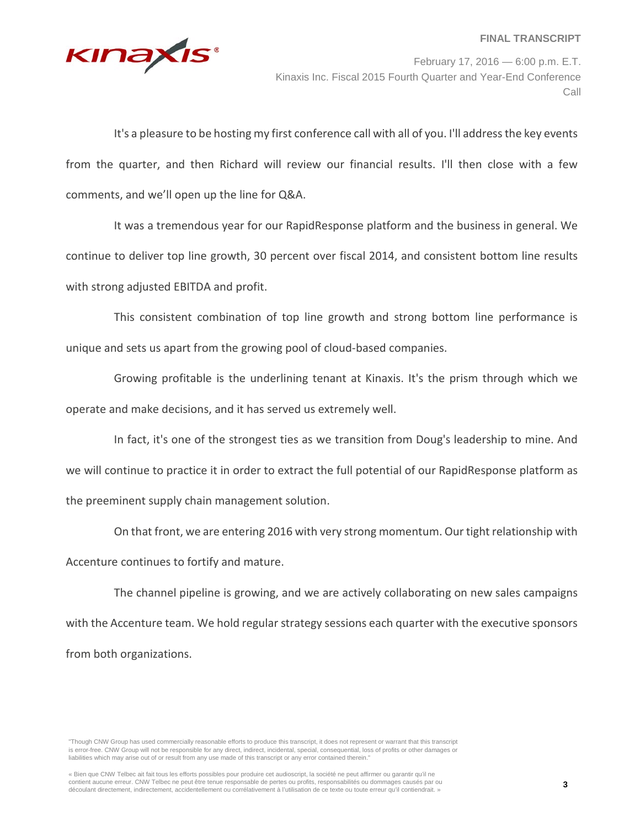

February 17, 2016 — 6:00 p.m. E.T. Kinaxis Inc. Fiscal 2015 Fourth Quarter and Year-End Conference Call

It's a pleasure to be hosting my first conference call with all of you. I'll address the key events from the quarter, and then Richard will review our financial results. I'll then close with a few comments, and we'll open up the line for Q&A.

It was a tremendous year for our RapidResponse platform and the business in general. We continue to deliver top line growth, 30 percent over fiscal 2014, and consistent bottom line results with strong adjusted EBITDA and profit.

This consistent combination of top line growth and strong bottom line performance is unique and sets us apart from the growing pool of cloud-based companies.

Growing profitable is the underlining tenant at Kinaxis. It's the prism through which we operate and make decisions, and it has served us extremely well.

In fact, it's one of the strongest ties as we transition from Doug's leadership to mine. And we will continue to practice it in order to extract the full potential of our RapidResponse platform as the preeminent supply chain management solution.

On that front, we are entering 2016 with very strong momentum. Our tight relationship with Accenture continues to fortify and mature.

The channel pipeline is growing, and we are actively collaborating on new sales campaigns with the Accenture team. We hold regular strategy sessions each quarter with the executive sponsors from both organizations.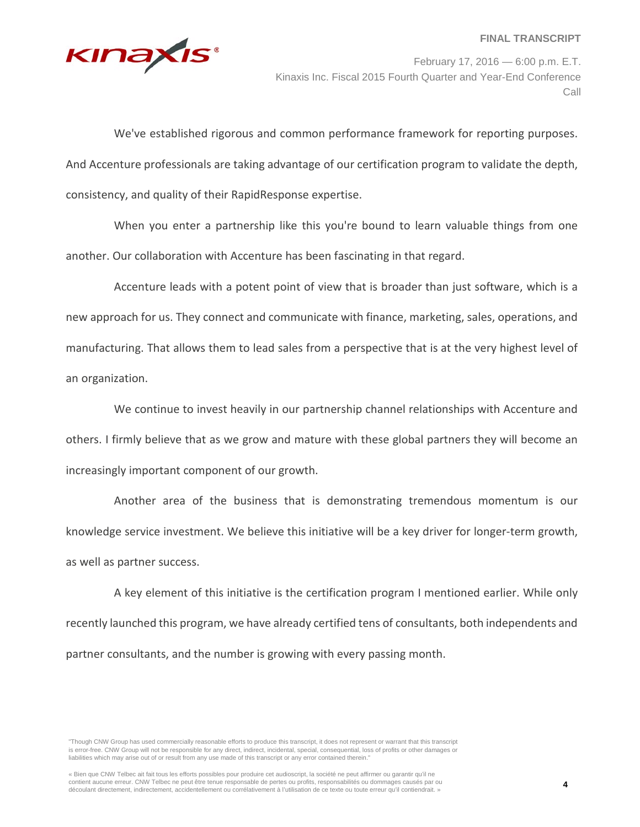

February 17, 2016 — 6:00 p.m. E.T. Kinaxis Inc. Fiscal 2015 Fourth Quarter and Year-End Conference Call

We've established rigorous and common performance framework for reporting purposes. And Accenture professionals are taking advantage of our certification program to validate the depth, consistency, and quality of their RapidResponse expertise.

When you enter a partnership like this you're bound to learn valuable things from one another. Our collaboration with Accenture has been fascinating in that regard.

Accenture leads with a potent point of view that is broader than just software, which is a new approach for us. They connect and communicate with finance, marketing, sales, operations, and manufacturing. That allows them to lead sales from a perspective that is at the very highest level of an organization.

We continue to invest heavily in our partnership channel relationships with Accenture and others. I firmly believe that as we grow and mature with these global partners they will become an increasingly important component of our growth.

Another area of the business that is demonstrating tremendous momentum is our knowledge service investment. We believe this initiative will be a key driver for longer-term growth, as well as partner success.

A key element of this initiative is the certification program I mentioned earlier. While only recently launched this program, we have already certified tens of consultants, both independents and partner consultants, and the number is growing with every passing month.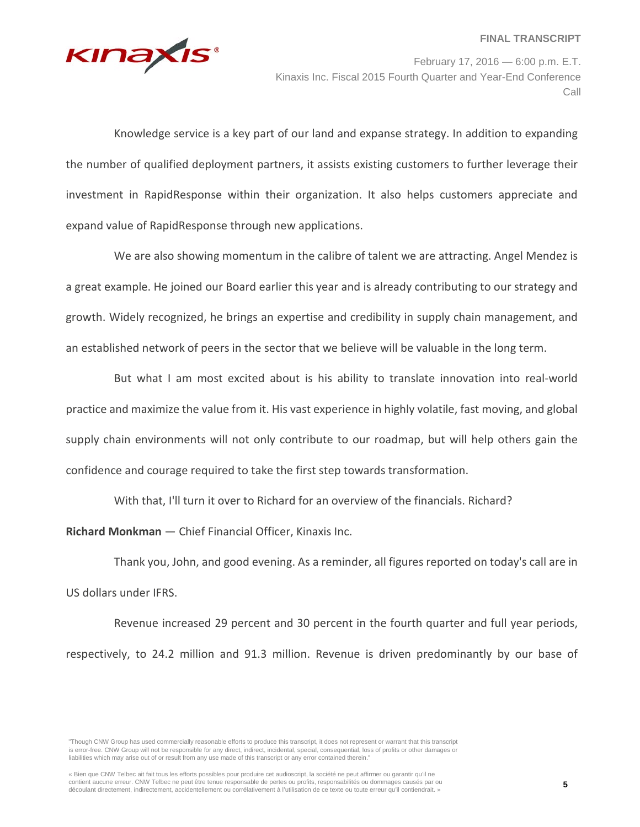

February 17, 2016 — 6:00 p.m. E.T. Kinaxis Inc. Fiscal 2015 Fourth Quarter and Year-End Conference Call

Knowledge service is a key part of our land and expanse strategy. In addition to expanding the number of qualified deployment partners, it assists existing customers to further leverage their investment in RapidResponse within their organization. It also helps customers appreciate and expand value of RapidResponse through new applications.

We are also showing momentum in the calibre of talent we are attracting. Angel Mendez is a great example. He joined our Board earlier this year and is already contributing to our strategy and growth. Widely recognized, he brings an expertise and credibility in supply chain management, and an established network of peers in the sector that we believe will be valuable in the long term.

But what I am most excited about is his ability to translate innovation into real-world practice and maximize the value from it. His vast experience in highly volatile, fast moving, and global supply chain environments will not only contribute to our roadmap, but will help others gain the confidence and courage required to take the first step towards transformation.

With that, I'll turn it over to Richard for an overview of the financials. Richard?

**Richard Monkman** — Chief Financial Officer, Kinaxis Inc.

Thank you, John, and good evening. As a reminder, all figures reported on today's call are in US dollars under IFRS.

Revenue increased 29 percent and 30 percent in the fourth quarter and full year periods, respectively, to 24.2 million and 91.3 million. Revenue is driven predominantly by our base of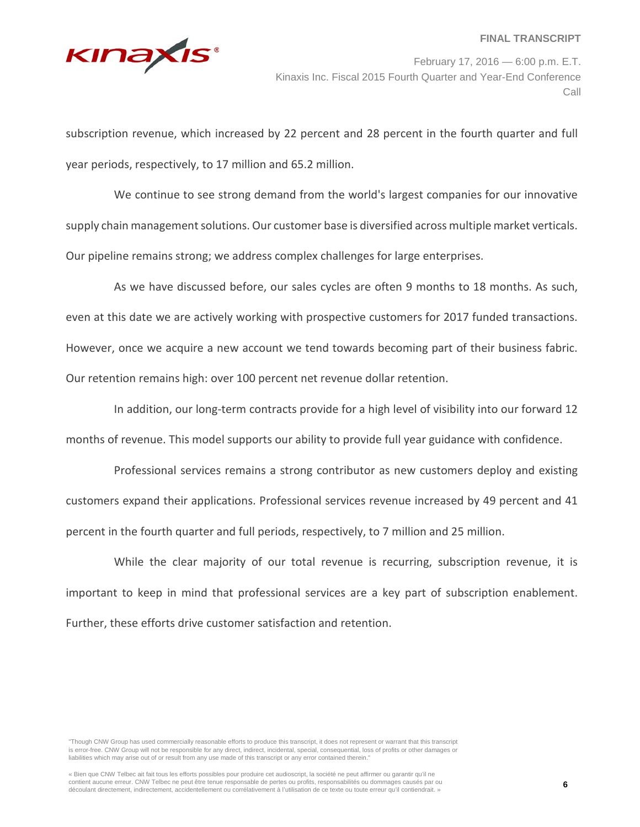

February 17, 2016 — 6:00 p.m. E.T. Kinaxis Inc. Fiscal 2015 Fourth Quarter and Year-End Conference Call

subscription revenue, which increased by 22 percent and 28 percent in the fourth quarter and full year periods, respectively, to 17 million and 65.2 million.

We continue to see strong demand from the world's largest companies for our innovative supply chain management solutions. Our customer base is diversified across multiple market verticals. Our pipeline remains strong; we address complex challenges for large enterprises.

As we have discussed before, our sales cycles are often 9 months to 18 months. As such, even at this date we are actively working with prospective customers for 2017 funded transactions. However, once we acquire a new account we tend towards becoming part of their business fabric. Our retention remains high: over 100 percent net revenue dollar retention.

In addition, our long-term contracts provide for a high level of visibility into our forward 12 months of revenue. This model supports our ability to provide full year guidance with confidence.

Professional services remains a strong contributor as new customers deploy and existing customers expand their applications. Professional services revenue increased by 49 percent and 41 percent in the fourth quarter and full periods, respectively, to 7 million and 25 million.

While the clear majority of our total revenue is recurring, subscription revenue, it is important to keep in mind that professional services are a key part of subscription enablement. Further, these efforts drive customer satisfaction and retention.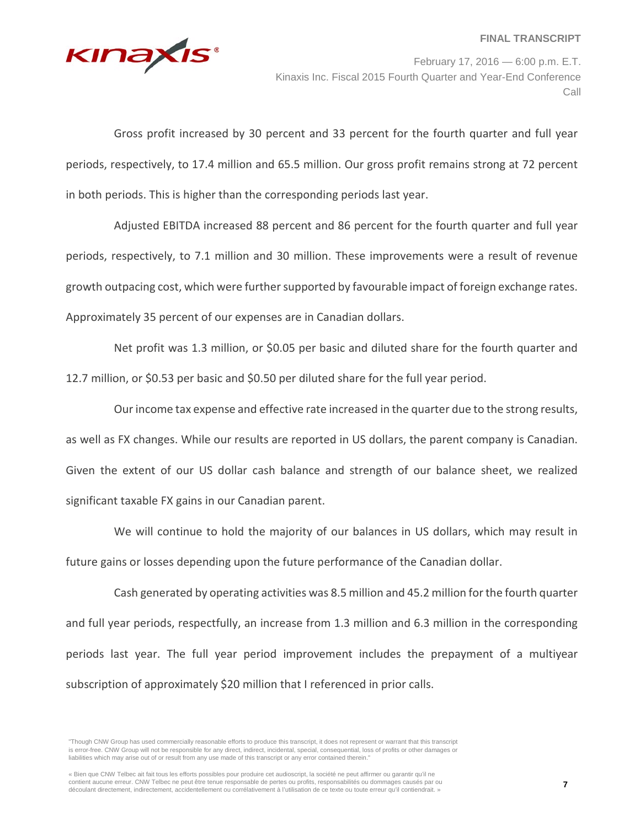

February 17, 2016 — 6:00 p.m. E.T. Kinaxis Inc. Fiscal 2015 Fourth Quarter and Year-End Conference Call

Gross profit increased by 30 percent and 33 percent for the fourth quarter and full year periods, respectively, to 17.4 million and 65.5 million. Our gross profit remains strong at 72 percent in both periods. This is higher than the corresponding periods last year.

Adjusted EBITDA increased 88 percent and 86 percent for the fourth quarter and full year periods, respectively, to 7.1 million and 30 million. These improvements were a result of revenue growth outpacing cost, which were further supported by favourable impact of foreign exchange rates. Approximately 35 percent of our expenses are in Canadian dollars.

Net profit was 1.3 million, or \$0.05 per basic and diluted share for the fourth quarter and 12.7 million, or \$0.53 per basic and \$0.50 per diluted share for the full year period.

Our income tax expense and effective rate increased in the quarter due to the strong results, as well as FX changes. While our results are reported in US dollars, the parent company is Canadian. Given the extent of our US dollar cash balance and strength of our balance sheet, we realized significant taxable FX gains in our Canadian parent.

We will continue to hold the majority of our balances in US dollars, which may result in future gains or losses depending upon the future performance of the Canadian dollar.

Cash generated by operating activities was 8.5 million and 45.2 million for the fourth quarter and full year periods, respectfully, an increase from 1.3 million and 6.3 million in the corresponding periods last year. The full year period improvement includes the prepayment of a multiyear subscription of approximately \$20 million that I referenced in prior calls.

<sup>&</sup>quot;Though CNW Group has used commercially reasonable efforts to produce this transcript, it does not represent or warrant that this transcript is error-free. CNW Group will not be responsible for any direct, indirect, incidental, special, consequential, loss of profits or other damages or liabilities which may arise out of or result from any use made of this transcript or any error contained therein."

<sup>«</sup> Bien que CNW Telbec ait fait tous les efforts possibles pour produire cet audioscript, la société ne peut affirmer ou garantir qu'il ne contient aucune erreur. CNW Telbec ne peut être tenue responsable de pertes ou profits, responsabilités ou dommages causés par ou découlant directement, indirectement, accidentellement ou corrélativement à l'utilisation de ce texte ou toute erreur qu'il contiendrait. »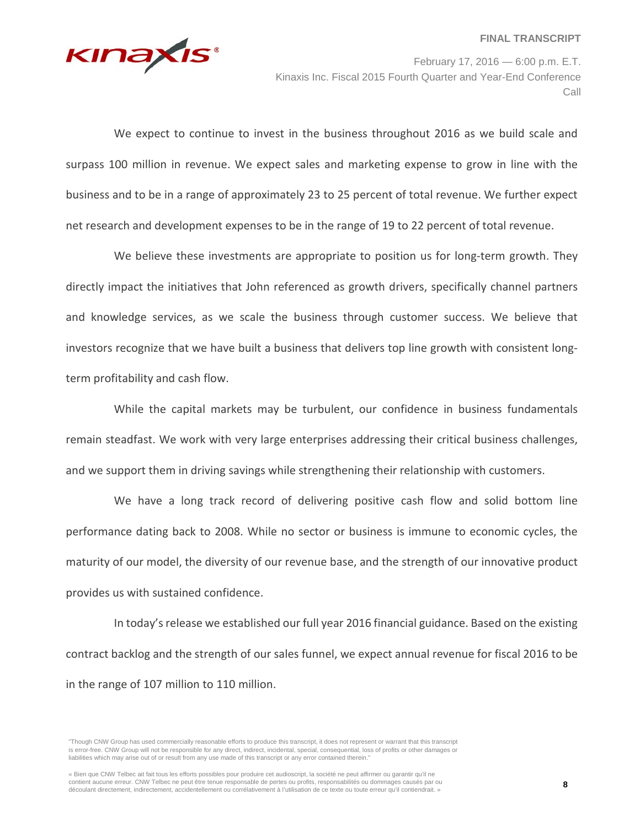

February 17, 2016 — 6:00 p.m. E.T. Kinaxis Inc. Fiscal 2015 Fourth Quarter and Year-End Conference Call

We expect to continue to invest in the business throughout 2016 as we build scale and surpass 100 million in revenue. We expect sales and marketing expense to grow in line with the business and to be in a range of approximately 23 to 25 percent of total revenue. We further expect net research and development expenses to be in the range of 19 to 22 percent of total revenue.

We believe these investments are appropriate to position us for long-term growth. They directly impact the initiatives that John referenced as growth drivers, specifically channel partners and knowledge services, as we scale the business through customer success. We believe that investors recognize that we have built a business that delivers top line growth with consistent longterm profitability and cash flow.

While the capital markets may be turbulent, our confidence in business fundamentals remain steadfast. We work with very large enterprises addressing their critical business challenges, and we support them in driving savings while strengthening their relationship with customers.

We have a long track record of delivering positive cash flow and solid bottom line performance dating back to 2008. While no sector or business is immune to economic cycles, the maturity of our model, the diversity of our revenue base, and the strength of our innovative product provides us with sustained confidence.

In today's release we established our full year 2016 financial guidance. Based on the existing contract backlog and the strength of our sales funnel, we expect annual revenue for fiscal 2016 to be in the range of 107 million to 110 million.

<sup>&</sup>quot;Though CNW Group has used commercially reasonable efforts to produce this transcript, it does not represent or warrant that this transcript is error-free. CNW Group will not be responsible for any direct, indirect, incidental, special, consequential, loss of profits or other damages or liabilities which may arise out of or result from any use made of this transcript or any error contained therein."

<sup>«</sup> Bien que CNW Telbec ait fait tous les efforts possibles pour produire cet audioscript, la société ne peut affirmer ou garantir qu'il ne contient aucune erreur. CNW Telbec ne peut être tenue responsable de pertes ou profits, responsabilités ou dommages causés par ou découlant directement, indirectement, accidentellement ou corrélativement à l'utilisation de ce texte ou toute erreur qu'il contiendrait. »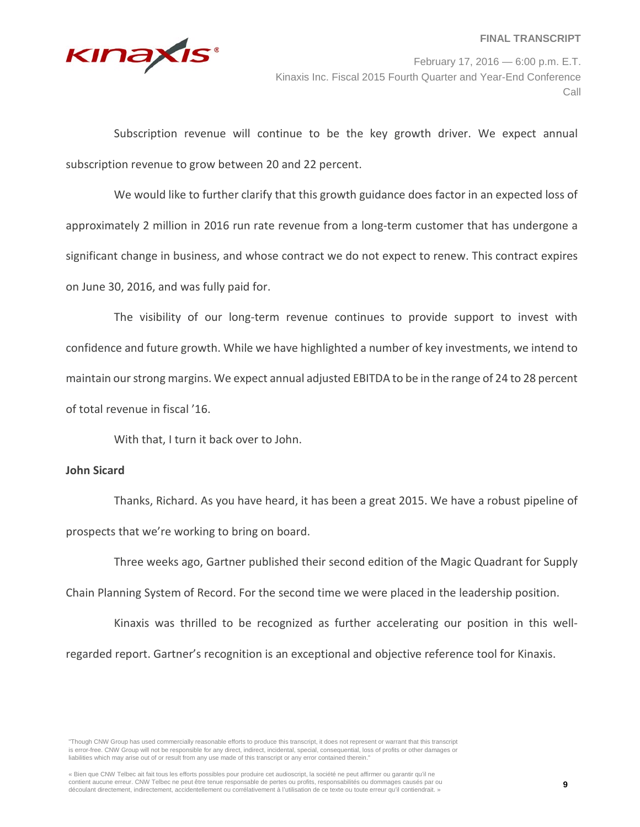

February 17, 2016 — 6:00 p.m. E.T. Kinaxis Inc. Fiscal 2015 Fourth Quarter and Year-End Conference Call

Subscription revenue will continue to be the key growth driver. We expect annual subscription revenue to grow between 20 and 22 percent.

We would like to further clarify that this growth guidance does factor in an expected loss of approximately 2 million in 2016 run rate revenue from a long-term customer that has undergone a significant change in business, and whose contract we do not expect to renew. This contract expires on June 30, 2016, and was fully paid for.

The visibility of our long-term revenue continues to provide support to invest with confidence and future growth. While we have highlighted a number of key investments, we intend to maintain our strong margins. We expect annual adjusted EBITDA to be in the range of 24 to 28 percent of total revenue in fiscal '16.

With that, I turn it back over to John.

#### **John Sicard**

Thanks, Richard. As you have heard, it has been a great 2015. We have a robust pipeline of prospects that we're working to bring on board.

Three weeks ago, Gartner published their second edition of the Magic Quadrant for Supply Chain Planning System of Record. For the second time we were placed in the leadership position.

Kinaxis was thrilled to be recognized as further accelerating our position in this wellregarded report. Gartner's recognition is an exceptional and objective reference tool for Kinaxis.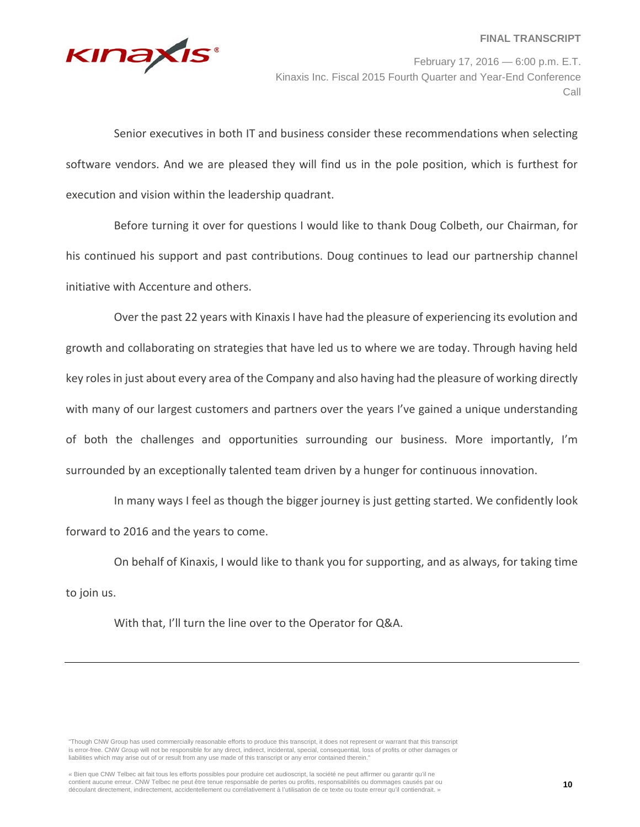

February 17, 2016 — 6:00 p.m. E.T. Kinaxis Inc. Fiscal 2015 Fourth Quarter and Year-End Conference Call

Senior executives in both IT and business consider these recommendations when selecting software vendors. And we are pleased they will find us in the pole position, which is furthest for execution and vision within the leadership quadrant.

Before turning it over for questions I would like to thank Doug Colbeth, our Chairman, for his continued his support and past contributions. Doug continues to lead our partnership channel initiative with Accenture and others.

Over the past 22 years with Kinaxis I have had the pleasure of experiencing its evolution and growth and collaborating on strategies that have led us to where we are today. Through having held key roles in just about every area of the Company and also having had the pleasure of working directly with many of our largest customers and partners over the years I've gained a unique understanding of both the challenges and opportunities surrounding our business. More importantly, I'm surrounded by an exceptionally talented team driven by a hunger for continuous innovation.

In many ways I feel as though the bigger journey is just getting started. We confidently look forward to 2016 and the years to come.

On behalf of Kinaxis, I would like to thank you for supporting, and as always, for taking time to join us.

With that, I'll turn the line over to the Operator for Q&A.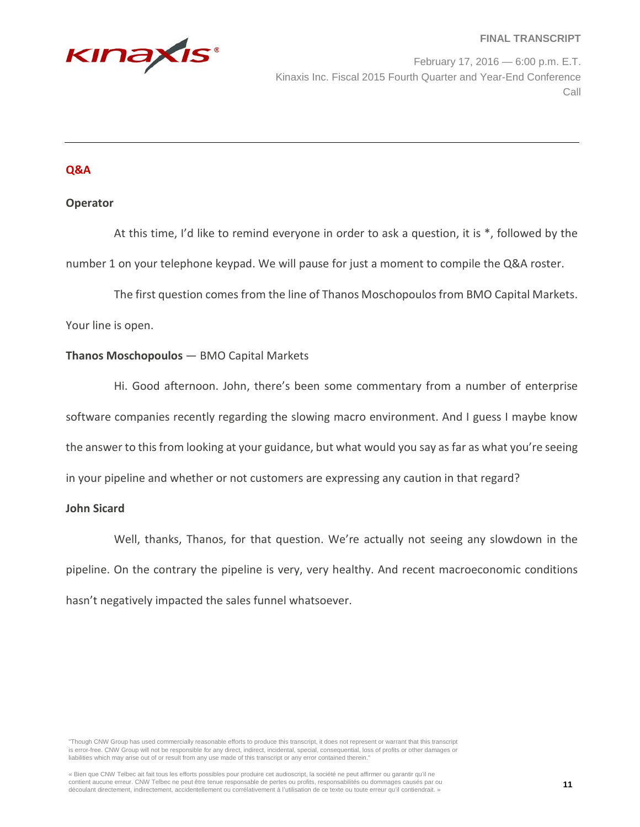

February 17, 2016 — 6:00 p.m. E.T. Kinaxis Inc. Fiscal 2015 Fourth Quarter and Year-End Conference Call

# **Q&A**

### **Operator**

At this time, I'd like to remind everyone in order to ask a question, it is \*, followed by the number 1 on your telephone keypad. We will pause for just a moment to compile the Q&A roster.

The first question comes from the line of Thanos Moschopoulos from BMO Capital Markets. Your line is open.

#### **Thanos Moschopoulos** — BMO Capital Markets

Hi. Good afternoon. John, there's been some commentary from a number of enterprise software companies recently regarding the slowing macro environment. And I guess I maybe know the answer to this from looking at your guidance, but what would you say as far as what you're seeing in your pipeline and whether or not customers are expressing any caution in that regard?

#### **John Sicard**

Well, thanks, Thanos, for that question. We're actually not seeing any slowdown in the pipeline. On the contrary the pipeline is very, very healthy. And recent macroeconomic conditions hasn't negatively impacted the sales funnel whatsoever.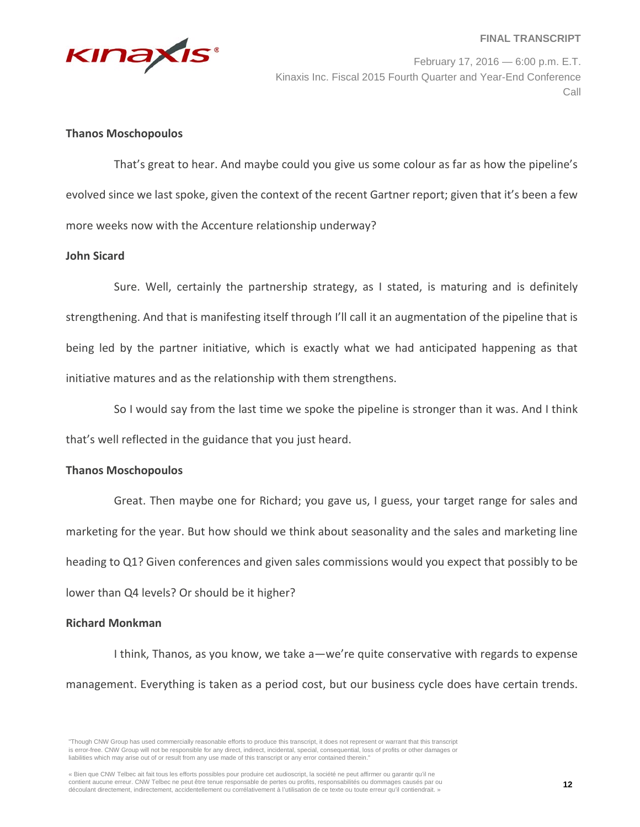

February 17, 2016 — 6:00 p.m. E.T. Kinaxis Inc. Fiscal 2015 Fourth Quarter and Year-End Conference Call

# **Thanos Moschopoulos**

That's great to hear. And maybe could you give us some colour as far as how the pipeline's evolved since we last spoke, given the context of the recent Gartner report; given that it's been a few more weeks now with the Accenture relationship underway?

# **John Sicard**

Sure. Well, certainly the partnership strategy, as I stated, is maturing and is definitely strengthening. And that is manifesting itself through I'll call it an augmentation of the pipeline that is being led by the partner initiative, which is exactly what we had anticipated happening as that initiative matures and as the relationship with them strengthens.

So I would say from the last time we spoke the pipeline is stronger than it was. And I think that's well reflected in the guidance that you just heard.

# **Thanos Moschopoulos**

Great. Then maybe one for Richard; you gave us, I guess, your target range for sales and marketing for the year. But how should we think about seasonality and the sales and marketing line heading to Q1? Given conferences and given sales commissions would you expect that possibly to be lower than Q4 levels? Or should be it higher?

#### **Richard Monkman**

I think, Thanos, as you know, we take a—we're quite conservative with regards to expense management. Everything is taken as a period cost, but our business cycle does have certain trends.

<sup>&</sup>quot;Though CNW Group has used commercially reasonable efforts to produce this transcript, it does not represent or warrant that this transcript is error-free. CNW Group will not be responsible for any direct, indirect, incidental, special, consequential, loss of profits or other damages or liabilities which may arise out of or result from any use made of this transcript or any error contained therein."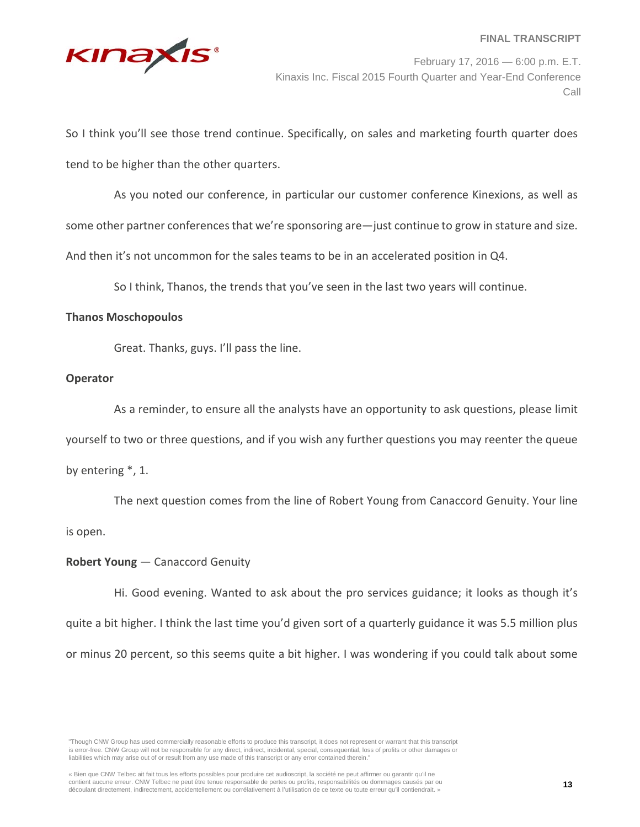

February 17, 2016 — 6:00 p.m. E.T. Kinaxis Inc. Fiscal 2015 Fourth Quarter and Year-End Conference Call

So I think you'll see those trend continue. Specifically, on sales and marketing fourth quarter does tend to be higher than the other quarters.

As you noted our conference, in particular our customer conference Kinexions, as well as

some other partner conferences that we're sponsoring are—just continue to grow in stature and size.

And then it's not uncommon for the sales teams to be in an accelerated position in Q4.

So I think, Thanos, the trends that you've seen in the last two years will continue.

#### **Thanos Moschopoulos**

Great. Thanks, guys. I'll pass the line.

# **Operator**

As a reminder, to ensure all the analysts have an opportunity to ask questions, please limit yourself to two or three questions, and if you wish any further questions you may reenter the queue by entering \*, 1.

The next question comes from the line of Robert Young from Canaccord Genuity. Your line is open.

# **Robert Young** — Canaccord Genuity

Hi. Good evening. Wanted to ask about the pro services guidance; it looks as though it's quite a bit higher. I think the last time you'd given sort of a quarterly guidance it was 5.5 million plus or minus 20 percent, so this seems quite a bit higher. I was wondering if you could talk about some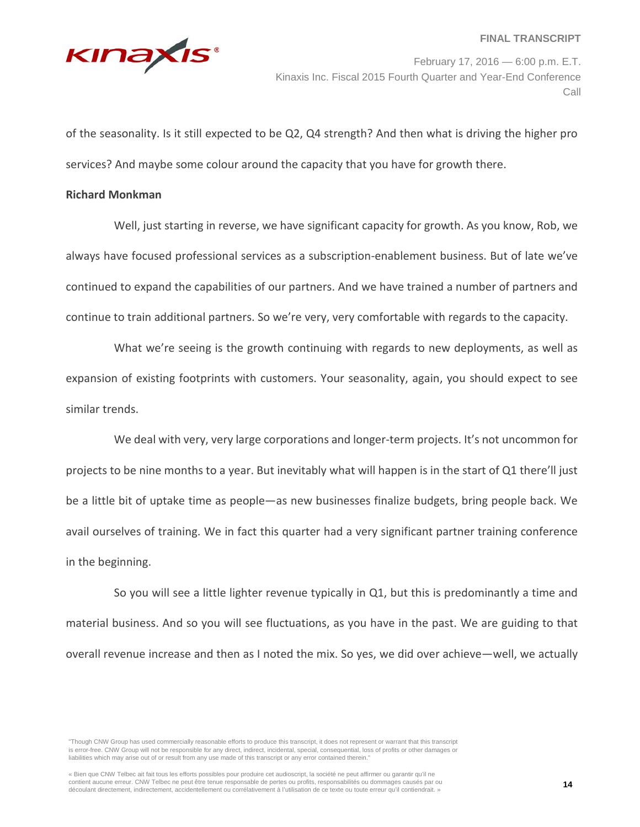

February 17, 2016 — 6:00 p.m. E.T. Kinaxis Inc. Fiscal 2015 Fourth Quarter and Year-End Conference Call

of the seasonality. Is it still expected to be Q2, Q4 strength? And then what is driving the higher pro services? And maybe some colour around the capacity that you have for growth there.

#### **Richard Monkman**

Well, just starting in reverse, we have significant capacity for growth. As you know, Rob, we always have focused professional services as a subscription-enablement business. But of late we've continued to expand the capabilities of our partners. And we have trained a number of partners and continue to train additional partners. So we're very, very comfortable with regards to the capacity.

What we're seeing is the growth continuing with regards to new deployments, as well as expansion of existing footprints with customers. Your seasonality, again, you should expect to see similar trends.

We deal with very, very large corporations and longer-term projects. It's not uncommon for projects to be nine months to a year. But inevitably what will happen is in the start of Q1 there'll just be a little bit of uptake time as people—as new businesses finalize budgets, bring people back. We avail ourselves of training. We in fact this quarter had a very significant partner training conference in the beginning.

So you will see a little lighter revenue typically in Q1, but this is predominantly a time and material business. And so you will see fluctuations, as you have in the past. We are guiding to that overall revenue increase and then as I noted the mix. So yes, we did over achieve—well, we actually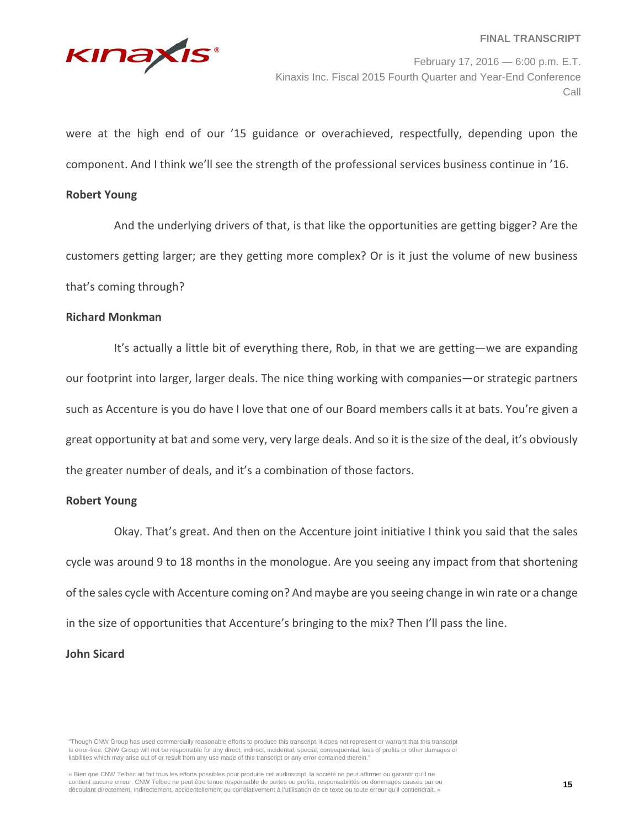

February 17, 2016 — 6:00 p.m. E.T. Kinaxis Inc. Fiscal 2015 Fourth Quarter and Year-End Conference Call

were at the high end of our '15 guidance or overachieved, respectfully, depending upon the component. And I think we'll see the strength of the professional services business continue in '16.

### **Robert Young**

And the underlying drivers of that, is that like the opportunities are getting bigger? Are the customers getting larger; are they getting more complex? Or is it just the volume of new business that's coming through?

#### **Richard Monkman**

It's actually a little bit of everything there, Rob, in that we are getting—we are expanding our footprint into larger, larger deals. The nice thing working with companies—or strategic partners such as Accenture is you do have I love that one of our Board members calls it at bats. You're given a great opportunity at bat and some very, very large deals. And so it is the size of the deal, it's obviously the greater number of deals, and it's a combination of those factors.

# **Robert Young**

Okay. That's great. And then on the Accenture joint initiative I think you said that the sales cycle was around 9 to 18 months in the monologue. Are you seeing any impact from that shortening of the sales cycle with Accenture coming on? And maybe are you seeing change in win rate or a change in the size of opportunities that Accenture's bringing to the mix? Then I'll pass the line.

# **John Sicard**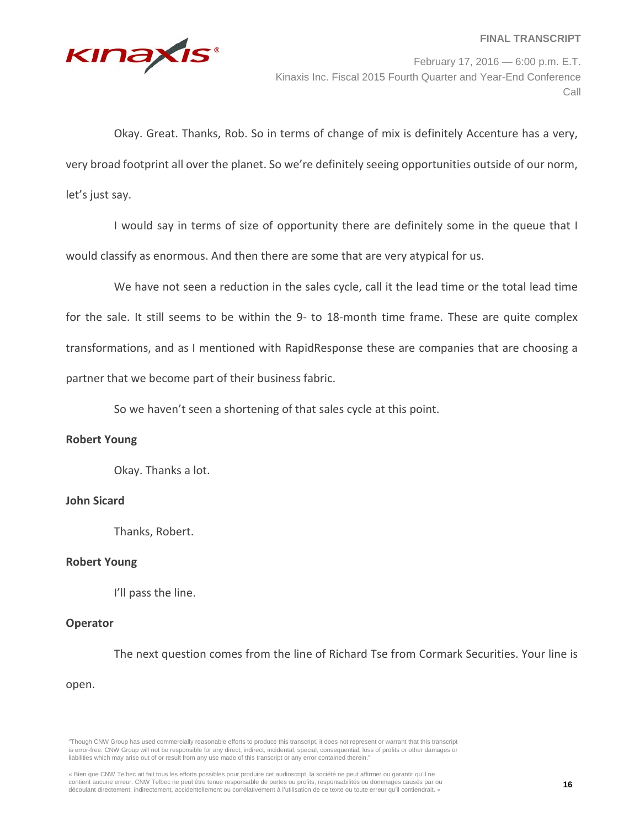

February 17, 2016 — 6:00 p.m. E.T. Kinaxis Inc. Fiscal 2015 Fourth Quarter and Year-End Conference Call

Okay. Great. Thanks, Rob. So in terms of change of mix is definitely Accenture has a very, very broad footprint all over the planet. So we're definitely seeing opportunities outside of our norm, let's just say.

I would say in terms of size of opportunity there are definitely some in the queue that I would classify as enormous. And then there are some that are very atypical for us.

We have not seen a reduction in the sales cycle, call it the lead time or the total lead time for the sale. It still seems to be within the 9- to 18-month time frame. These are quite complex transformations, and as I mentioned with RapidResponse these are companies that are choosing a partner that we become part of their business fabric.

So we haven't seen a shortening of that sales cycle at this point.

# **Robert Young**

Okay. Thanks a lot.

# **John Sicard**

Thanks, Robert.

# **Robert Young**

I'll pass the line.

# **Operator**

The next question comes from the line of Richard Tse from Cormark Securities. Your line is

open.

<sup>«</sup> Bien que CNW Telbec ait fait tous les efforts possibles pour produire cet audioscript, la société ne peut affirmer ou garantir qu'il ne contient aucune erreur. CNW Telbec ne peut être tenue responsable de pertes ou profits, responsabilités ou dommages causés par ou découlant directement, indirectement, accidentellement ou corrélativement à l'utilisation de ce texte ou toute erreur qu'il contiendrait. »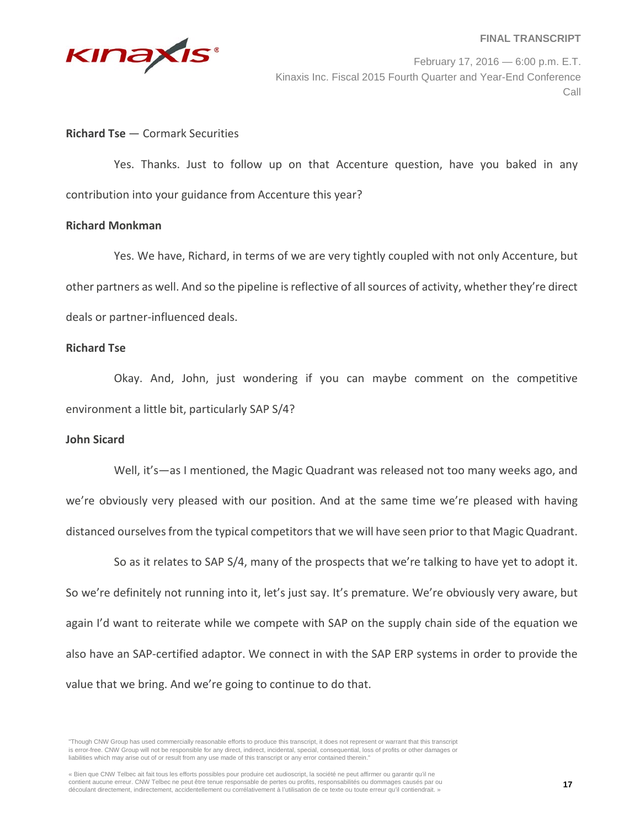

February 17, 2016 — 6:00 p.m. E.T. Kinaxis Inc. Fiscal 2015 Fourth Quarter and Year-End Conference Call

#### **Richard Tse** — Cormark Securities

Yes. Thanks. Just to follow up on that Accenture question, have you baked in any contribution into your guidance from Accenture this year?

#### **Richard Monkman**

Yes. We have, Richard, in terms of we are very tightly coupled with not only Accenture, but other partners as well. And so the pipeline is reflective of all sources of activity, whether they're direct deals or partner-influenced deals.

### **Richard Tse**

Okay. And, John, just wondering if you can maybe comment on the competitive environment a little bit, particularly SAP S/4?

# **John Sicard**

Well, it's—as I mentioned, the Magic Quadrant was released not too many weeks ago, and we're obviously very pleased with our position. And at the same time we're pleased with having distanced ourselves from the typical competitors that we will have seen prior to that Magic Quadrant.

So as it relates to SAP S/4, many of the prospects that we're talking to have yet to adopt it. So we're definitely not running into it, let's just say. It's premature. We're obviously very aware, but again I'd want to reiterate while we compete with SAP on the supply chain side of the equation we also have an SAP-certified adaptor. We connect in with the SAP ERP systems in order to provide the value that we bring. And we're going to continue to do that.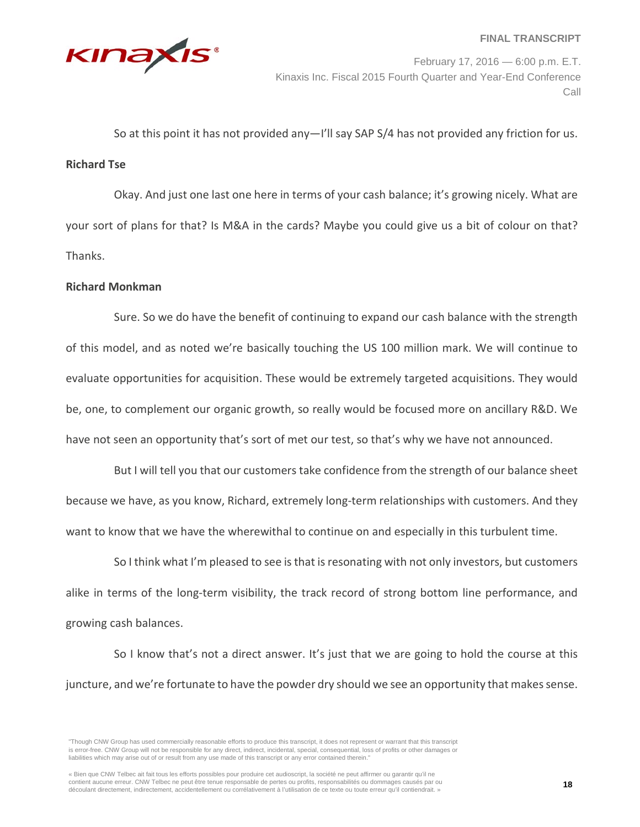

February 17, 2016 — 6:00 p.m. E.T. Kinaxis Inc. Fiscal 2015 Fourth Quarter and Year-End Conference Call

So at this point it has not provided any—I'll say SAP S/4 has not provided any friction for us. **Richard Tse**

Okay. And just one last one here in terms of your cash balance; it's growing nicely. What are your sort of plans for that? Is M&A in the cards? Maybe you could give us a bit of colour on that? Thanks.

### **Richard Monkman**

Sure. So we do have the benefit of continuing to expand our cash balance with the strength of this model, and as noted we're basically touching the US 100 million mark. We will continue to evaluate opportunities for acquisition. These would be extremely targeted acquisitions. They would be, one, to complement our organic growth, so really would be focused more on ancillary R&D. We have not seen an opportunity that's sort of met our test, so that's why we have not announced.

But I will tell you that our customers take confidence from the strength of our balance sheet because we have, as you know, Richard, extremely long-term relationships with customers. And they want to know that we have the wherewithal to continue on and especially in this turbulent time.

So I think what I'm pleased to see is that is resonating with not only investors, but customers alike in terms of the long-term visibility, the track record of strong bottom line performance, and growing cash balances.

So I know that's not a direct answer. It's just that we are going to hold the course at this juncture, and we're fortunate to have the powder dry should we see an opportunity that makes sense.

<sup>&</sup>quot;Though CNW Group has used commercially reasonable efforts to produce this transcript, it does not represent or warrant that this transcript is error-free. CNW Group will not be responsible for any direct, indirect, incidental, special, consequential, loss of profits or other damages or liabilities which may arise out of or result from any use made of this transcript or any error contained therein."

<sup>«</sup> Bien que CNW Telbec ait fait tous les efforts possibles pour produire cet audioscript, la société ne peut affirmer ou garantir qu'il ne contient aucune erreur. CNW Telbec ne peut être tenue responsable de pertes ou profits, responsabilités ou dommages causés par ou découlant directement, indirectement, accidentellement ou corrélativement à l'utilisation de ce texte ou toute erreur qu'il contiendrait. »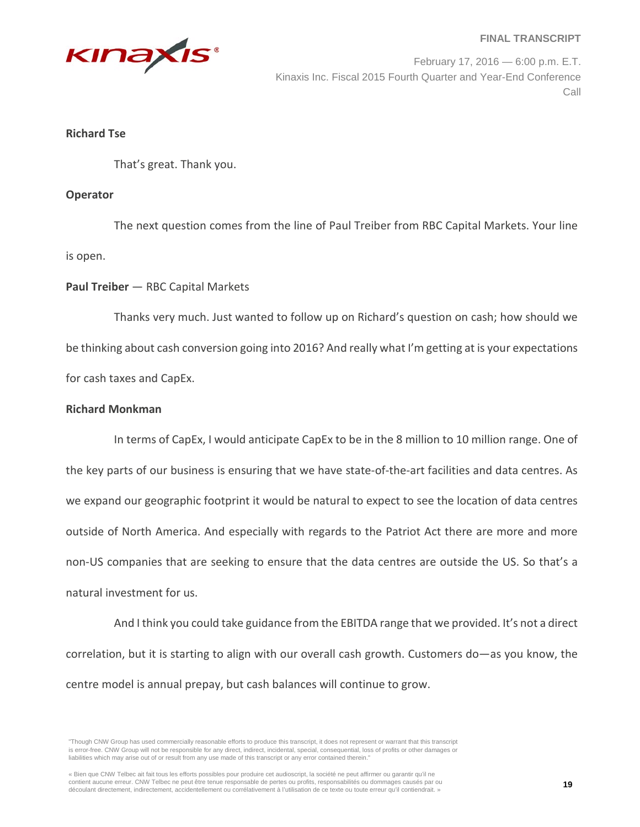

February 17, 2016 — 6:00 p.m. E.T. Kinaxis Inc. Fiscal 2015 Fourth Quarter and Year-End Conference Call

### **Richard Tse**

That's great. Thank you.

# **Operator**

The next question comes from the line of Paul Treiber from RBC Capital Markets. Your line is open.

# **Paul Treiber** — RBC Capital Markets

Thanks very much. Just wanted to follow up on Richard's question on cash; how should we be thinking about cash conversion going into 2016? And really what I'm getting at is your expectations for cash taxes and CapEx.

### **Richard Monkman**

In terms of CapEx, I would anticipate CapEx to be in the 8 million to 10 million range. One of the key parts of our business is ensuring that we have state-of-the-art facilities and data centres. As we expand our geographic footprint it would be natural to expect to see the location of data centres outside of North America. And especially with regards to the Patriot Act there are more and more non-US companies that are seeking to ensure that the data centres are outside the US. So that's a natural investment for us.

And I think you could take guidance from the EBITDA range that we provided. It's not a direct correlation, but it is starting to align with our overall cash growth. Customers do—as you know, the centre model is annual prepay, but cash balances will continue to grow.

<sup>&</sup>quot;Though CNW Group has used commercially reasonable efforts to produce this transcript, it does not represent or warrant that this transcript is error-free. CNW Group will not be responsible for any direct, indirect, incidental, special, consequential, loss of profits or other damages or liabilities which may arise out of or result from any use made of this transcript or any error contained therein."

<sup>«</sup> Bien que CNW Telbec ait fait tous les efforts possibles pour produire cet audioscript, la société ne peut affirmer ou garantir qu'il ne contient aucune erreur. CNW Telbec ne peut être tenue responsable de pertes ou profits, responsabilités ou dommages causés par ou découlant directement, indirectement, accidentellement ou corrélativement à l'utilisation de ce texte ou toute erreur qu'il contiendrait. »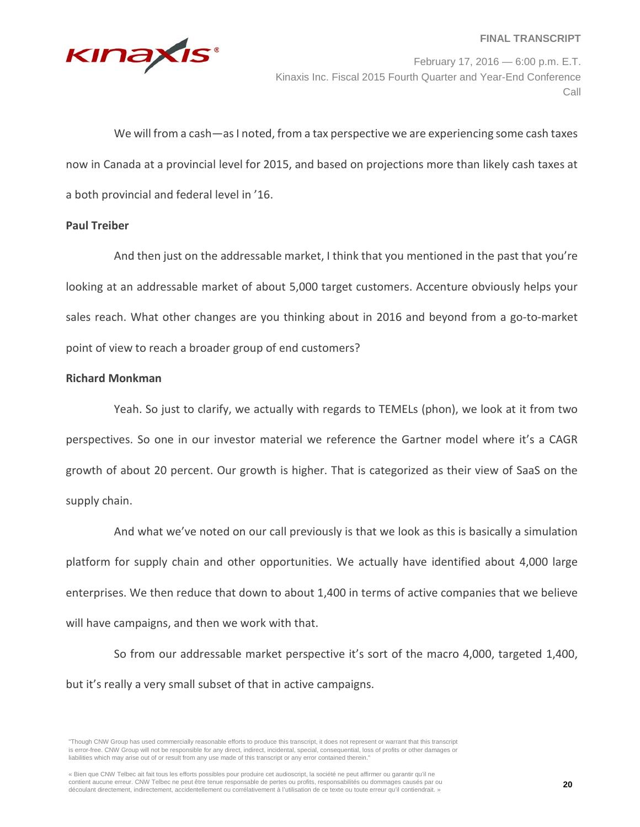

February 17, 2016 — 6:00 p.m. E.T. Kinaxis Inc. Fiscal 2015 Fourth Quarter and Year-End Conference Call

We will from a cash—as I noted, from a tax perspective we are experiencing some cash taxes now in Canada at a provincial level for 2015, and based on projections more than likely cash taxes at a both provincial and federal level in '16.

# **Paul Treiber**

And then just on the addressable market, I think that you mentioned in the past that you're looking at an addressable market of about 5,000 target customers. Accenture obviously helps your sales reach. What other changes are you thinking about in 2016 and beyond from a go-to-market point of view to reach a broader group of end customers?

# **Richard Monkman**

Yeah. So just to clarify, we actually with regards to TEMELs (phon), we look at it from two perspectives. So one in our investor material we reference the Gartner model where it's a CAGR growth of about 20 percent. Our growth is higher. That is categorized as their view of SaaS on the supply chain.

And what we've noted on our call previously is that we look as this is basically a simulation platform for supply chain and other opportunities. We actually have identified about 4,000 large enterprises. We then reduce that down to about 1,400 in terms of active companies that we believe will have campaigns, and then we work with that.

So from our addressable market perspective it's sort of the macro 4,000, targeted 1,400, but it's really a very small subset of that in active campaigns.

<sup>&</sup>quot;Though CNW Group has used commercially reasonable efforts to produce this transcript, it does not represent or warrant that this transcript is error-free. CNW Group will not be responsible for any direct, indirect, incidental, special, consequential, loss of profits or other damages or liabilities which may arise out of or result from any use made of this transcript or any error contained therein."

<sup>«</sup> Bien que CNW Telbec ait fait tous les efforts possibles pour produire cet audioscript, la société ne peut affirmer ou garantir qu'il ne contient aucune erreur. CNW Telbec ne peut être tenue responsable de pertes ou profits, responsabilités ou dommages causés par ou découlant directement, indirectement, accidentellement ou corrélativement à l'utilisation de ce texte ou toute erreur qu'il contiendrait. »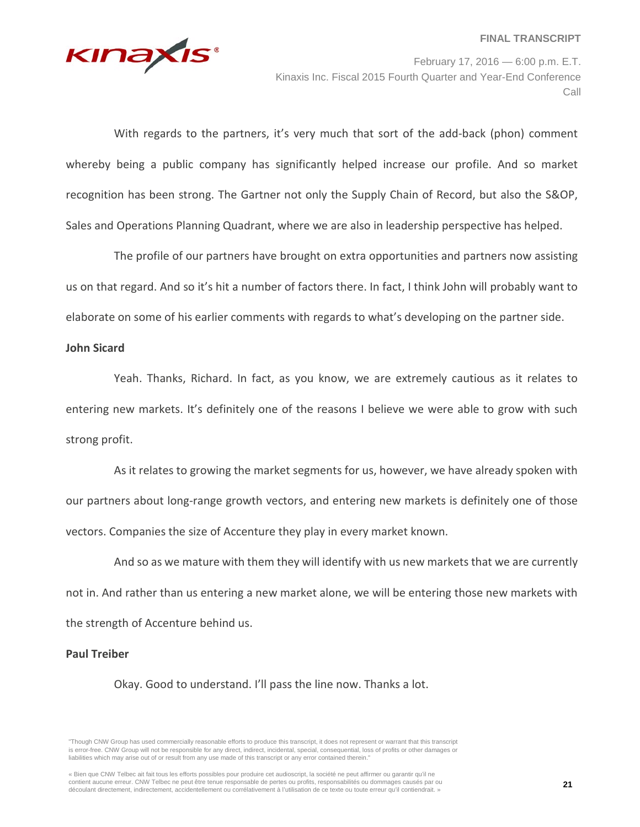

February 17, 2016 — 6:00 p.m. E.T. Kinaxis Inc. Fiscal 2015 Fourth Quarter and Year-End Conference Call

With regards to the partners, it's very much that sort of the add-back (phon) comment whereby being a public company has significantly helped increase our profile. And so market recognition has been strong. The Gartner not only the Supply Chain of Record, but also the S&OP, Sales and Operations Planning Quadrant, where we are also in leadership perspective has helped.

The profile of our partners have brought on extra opportunities and partners now assisting us on that regard. And so it's hit a number of factors there. In fact, I think John will probably want to elaborate on some of his earlier comments with regards to what's developing on the partner side.

### **John Sicard**

Yeah. Thanks, Richard. In fact, as you know, we are extremely cautious as it relates to entering new markets. It's definitely one of the reasons I believe we were able to grow with such strong profit.

As it relates to growing the market segments for us, however, we have already spoken with our partners about long-range growth vectors, and entering new markets is definitely one of those vectors. Companies the size of Accenture they play in every market known.

And so as we mature with them they will identify with us new markets that we are currently not in. And rather than us entering a new market alone, we will be entering those new markets with the strength of Accenture behind us.

# **Paul Treiber**

Okay. Good to understand. I'll pass the line now. Thanks a lot.

<sup>&</sup>quot;Though CNW Group has used commercially reasonable efforts to produce this transcript, it does not represent or warrant that this transcript is error-free. CNW Group will not be responsible for any direct, indirect, incidental, special, consequential, loss of profits or other damages or liabilities which may arise out of or result from any use made of this transcript or any error contained therein."

<sup>«</sup> Bien que CNW Telbec ait fait tous les efforts possibles pour produire cet audioscript, la société ne peut affirmer ou garantir qu'il ne contient aucune erreur. CNW Telbec ne peut être tenue responsable de pertes ou profits, responsabilités ou dommages causés par ou découlant directement, indirectement, accidentellement ou corrélativement à l'utilisation de ce texte ou toute erreur qu'il contiendrait. »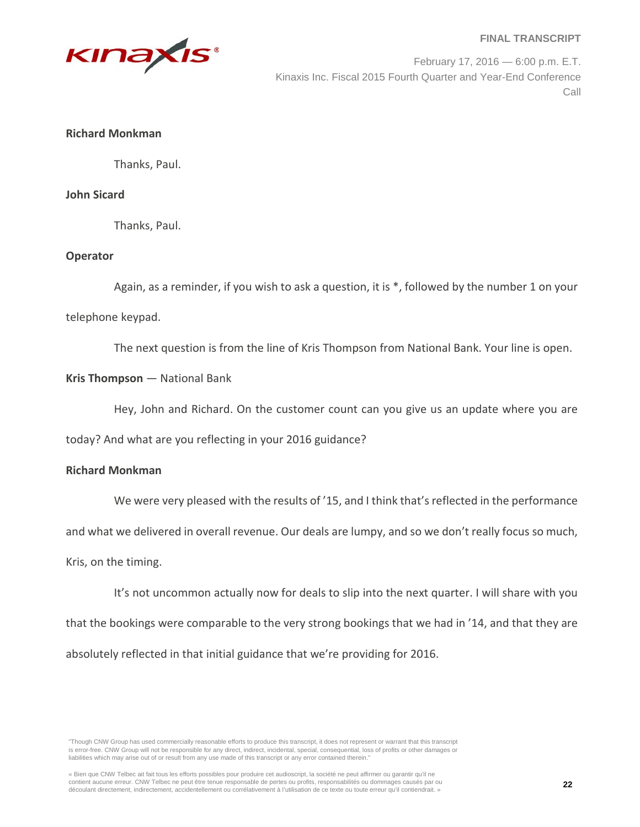

February 17, 2016 — 6:00 p.m. E.T. Kinaxis Inc. Fiscal 2015 Fourth Quarter and Year-End Conference Call

# **Richard Monkman**

Thanks, Paul.

### **John Sicard**

Thanks, Paul.

# **Operator**

Again, as a reminder, if you wish to ask a question, it is \*, followed by the number 1 on your telephone keypad.

The next question is from the line of Kris Thompson from National Bank. Your line is open.

# **Kris Thompson** — National Bank

Hey, John and Richard. On the customer count can you give us an update where you are

today? And what are you reflecting in your 2016 guidance?

#### **Richard Monkman**

We were very pleased with the results of '15, and I think that's reflected in the performance

and what we delivered in overall revenue. Our deals are lumpy, and so we don't really focus so much,

Kris, on the timing.

It's not uncommon actually now for deals to slip into the next quarter. I will share with you that the bookings were comparable to the very strong bookings that we had in '14, and that they are absolutely reflected in that initial guidance that we're providing for 2016.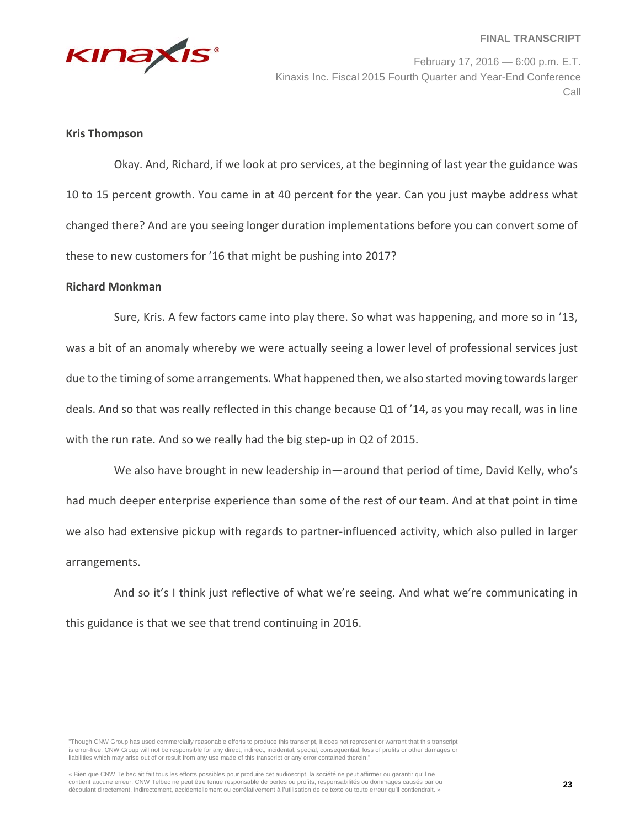

February 17, 2016 — 6:00 p.m. E.T. Kinaxis Inc. Fiscal 2015 Fourth Quarter and Year-End Conference Call

### **Kris Thompson**

Okay. And, Richard, if we look at pro services, at the beginning of last year the guidance was 10 to 15 percent growth. You came in at 40 percent for the year. Can you just maybe address what changed there? And are you seeing longer duration implementations before you can convert some of these to new customers for '16 that might be pushing into 2017?

### **Richard Monkman**

Sure, Kris. A few factors came into play there. So what was happening, and more so in '13, was a bit of an anomaly whereby we were actually seeing a lower level of professional services just due to the timing of some arrangements. What happened then, we also started moving towards larger deals. And so that was really reflected in this change because Q1 of '14, as you may recall, was in line with the run rate. And so we really had the big step-up in Q2 of 2015.

We also have brought in new leadership in—around that period of time, David Kelly, who's had much deeper enterprise experience than some of the rest of our team. And at that point in time we also had extensive pickup with regards to partner-influenced activity, which also pulled in larger arrangements.

And so it's I think just reflective of what we're seeing. And what we're communicating in this guidance is that we see that trend continuing in 2016.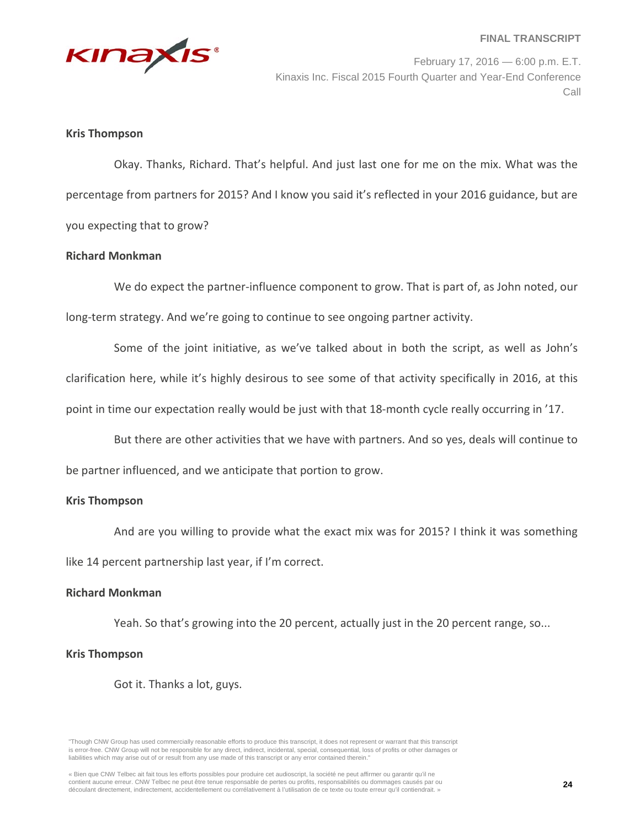

February 17, 2016 — 6:00 p.m. E.T. Kinaxis Inc. Fiscal 2015 Fourth Quarter and Year-End Conference Call

### **Kris Thompson**

Okay. Thanks, Richard. That's helpful. And just last one for me on the mix. What was the percentage from partners for 2015? And I know you said it's reflected in your 2016 guidance, but are you expecting that to grow?

#### **Richard Monkman**

We do expect the partner-influence component to grow. That is part of, as John noted, our long-term strategy. And we're going to continue to see ongoing partner activity.

Some of the joint initiative, as we've talked about in both the script, as well as John's clarification here, while it's highly desirous to see some of that activity specifically in 2016, at this point in time our expectation really would be just with that 18-month cycle really occurring in '17.

But there are other activities that we have with partners. And so yes, deals will continue to be partner influenced, and we anticipate that portion to grow.

#### **Kris Thompson**

And are you willing to provide what the exact mix was for 2015? I think it was something like 14 percent partnership last year, if I'm correct.

#### **Richard Monkman**

Yeah. So that's growing into the 20 percent, actually just in the 20 percent range, so...

# **Kris Thompson**

Got it. Thanks a lot, guys.

<sup>&</sup>quot;Though CNW Group has used commercially reasonable efforts to produce this transcript, it does not represent or warrant that this transcript is error-free. CNW Group will not be responsible for any direct, indirect, incidental, special, consequential, loss of profits or other damages or liabilities which may arise out of or result from any use made of this transcript or any error contained therein."

<sup>«</sup> Bien que CNW Telbec ait fait tous les efforts possibles pour produire cet audioscript, la société ne peut affirmer ou garantir qu'il ne contient aucune erreur. CNW Telbec ne peut être tenue responsable de pertes ou profits, responsabilités ou dommages causés par ou découlant directement, indirectement, accidentellement ou corrélativement à l'utilisation de ce texte ou toute erreur qu'il contiendrait. »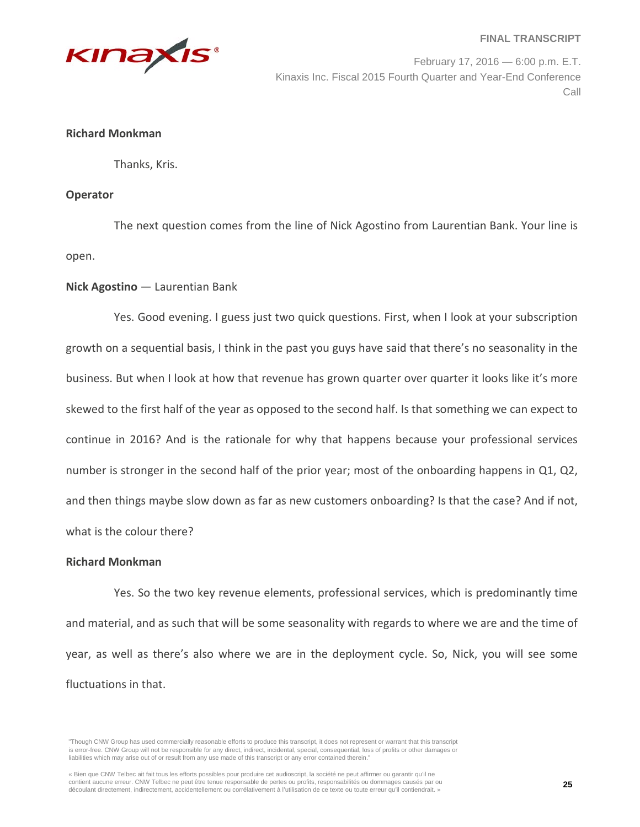

February 17, 2016 — 6:00 p.m. E.T. Kinaxis Inc. Fiscal 2015 Fourth Quarter and Year-End Conference Call

# **Richard Monkman**

Thanks, Kris.

### **Operator**

The next question comes from the line of Nick Agostino from Laurentian Bank. Your line is open.

# **Nick Agostino** — Laurentian Bank

Yes. Good evening. I guess just two quick questions. First, when I look at your subscription growth on a sequential basis, I think in the past you guys have said that there's no seasonality in the business. But when I look at how that revenue has grown quarter over quarter it looks like it's more skewed to the first half of the year as opposed to the second half. Is that something we can expect to continue in 2016? And is the rationale for why that happens because your professional services number is stronger in the second half of the prior year; most of the onboarding happens in Q1, Q2, and then things maybe slow down as far as new customers onboarding? Is that the case? And if not, what is the colour there?

#### **Richard Monkman**

Yes. So the two key revenue elements, professional services, which is predominantly time and material, and as such that will be some seasonality with regards to where we are and the time of year, as well as there's also where we are in the deployment cycle. So, Nick, you will see some fluctuations in that.

<sup>&</sup>quot;Though CNW Group has used commercially reasonable efforts to produce this transcript, it does not represent or warrant that this transcript is error-free. CNW Group will not be responsible for any direct, indirect, incidental, special, consequential, loss of profits or other damages or liabilities which may arise out of or result from any use made of this transcript or any error contained therein."

<sup>«</sup> Bien que CNW Telbec ait fait tous les efforts possibles pour produire cet audioscript, la société ne peut affirmer ou garantir qu'il ne contient aucune erreur. CNW Telbec ne peut être tenue responsable de pertes ou profits, responsabilités ou dommages causés par ou découlant directement, indirectement, accidentellement ou corrélativement à l'utilisation de ce texte ou toute erreur qu'il contiendrait. »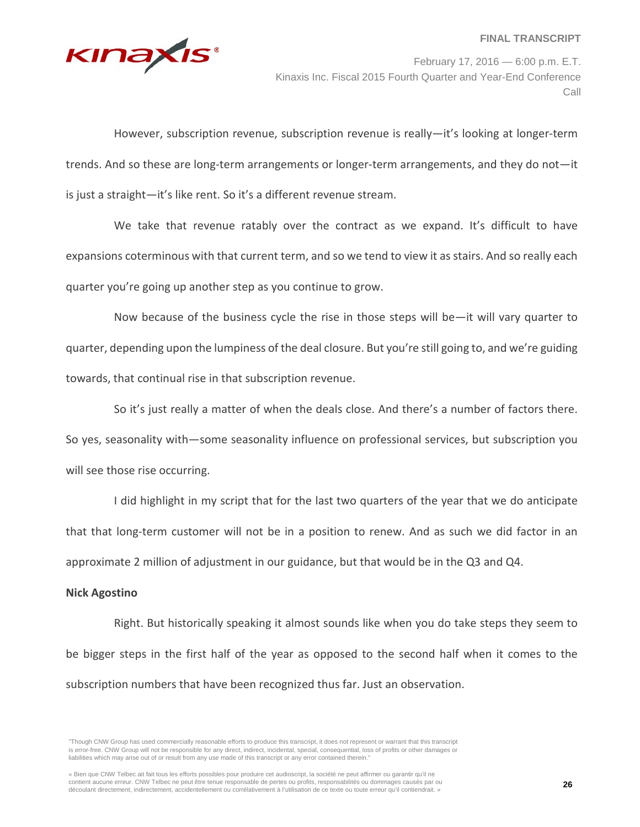

February 17, 2016 — 6:00 p.m. E.T. Kinaxis Inc. Fiscal 2015 Fourth Quarter and Year-End Conference Call

However, subscription revenue, subscription revenue is really—it's looking at longer-term trends. And so these are long-term arrangements or longer-term arrangements, and they do not—it is just a straight—it's like rent. So it's a different revenue stream.

We take that revenue ratably over the contract as we expand. It's difficult to have expansions coterminous with that current term, and so we tend to view it as stairs. And so really each quarter you're going up another step as you continue to grow.

Now because of the business cycle the rise in those steps will be—it will vary quarter to quarter, depending upon the lumpiness of the deal closure. But you're still going to, and we're guiding towards, that continual rise in that subscription revenue.

So it's just really a matter of when the deals close. And there's a number of factors there. So yes, seasonality with—some seasonality influence on professional services, but subscription you will see those rise occurring.

I did highlight in my script that for the last two quarters of the year that we do anticipate that that long-term customer will not be in a position to renew. And as such we did factor in an approximate 2 million of adjustment in our guidance, but that would be in the Q3 and Q4.

# **Nick Agostino**

Right. But historically speaking it almost sounds like when you do take steps they seem to be bigger steps in the first half of the year as opposed to the second half when it comes to the subscription numbers that have been recognized thus far. Just an observation.

<sup>&</sup>quot;Though CNW Group has used commercially reasonable efforts to produce this transcript, it does not represent or warrant that this transcript is error-free. CNW Group will not be responsible for any direct, indirect, incidental, special, consequential, loss of profits or other damages or liabilities which may arise out of or result from any use made of this transcript or any error contained therein."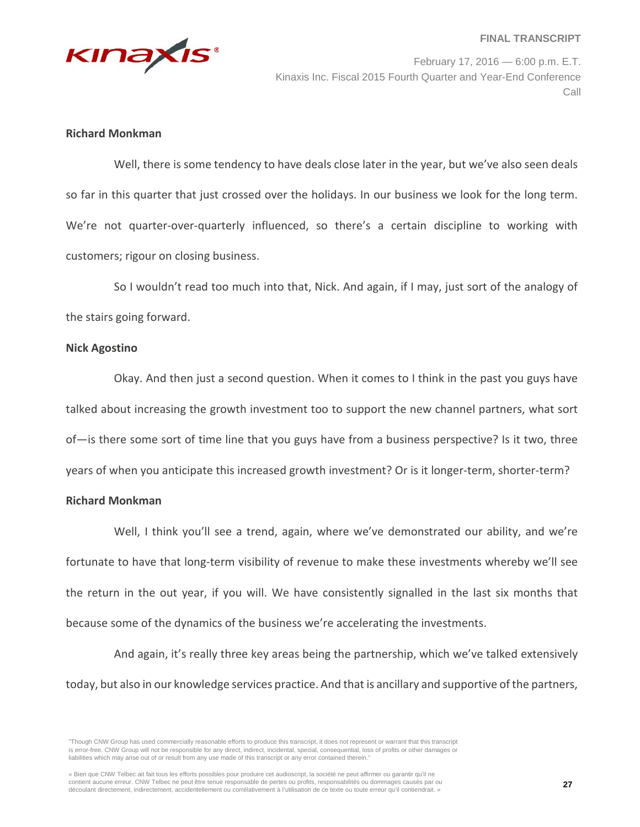

February 17, 2016 — 6:00 p.m. E.T. Kinaxis Inc. Fiscal 2015 Fourth Quarter and Year-End Conference Call

### **Richard Monkman**

Well, there is some tendency to have deals close later in the year, but we've also seen deals so far in this quarter that just crossed over the holidays. In our business we look for the long term. We're not quarter-over-quarterly influenced, so there's a certain discipline to working with customers; rigour on closing business.

So I wouldn't read too much into that, Nick. And again, if I may, just sort of the analogy of the stairs going forward.

#### **Nick Agostino**

Okay. And then just a second question. When it comes to I think in the past you guys have talked about increasing the growth investment too to support the new channel partners, what sort of—is there some sort of time line that you guys have from a business perspective? Is it two, three years of when you anticipate this increased growth investment? Or is it longer-term, shorter-term?

# **Richard Monkman**

Well, I think you'll see a trend, again, where we've demonstrated our ability, and we're fortunate to have that long-term visibility of revenue to make these investments whereby we'll see the return in the out year, if you will. We have consistently signalled in the last six months that because some of the dynamics of the business we're accelerating the investments.

And again, it's really three key areas being the partnership, which we've talked extensively today, but also in our knowledge services practice. And that is ancillary and supportive of the partners,

<sup>&</sup>quot;Though CNW Group has used commercially reasonable efforts to produce this transcript, it does not represent or warrant that this transcript is error-free. CNW Group will not be responsible for any direct, indirect, incidental, special, consequential, loss of profits or other damages or liabilities which may arise out of or result from any use made of this transcript or any error contained therein."

<sup>«</sup> Bien que CNW Telbec ait fait tous les efforts possibles pour produire cet audioscript, la société ne peut affirmer ou garantir qu'il ne contient aucune erreur. CNW Telbec ne peut être tenue responsable de pertes ou profits, responsabilités ou dommages causés par ou découlant directement, indirectement, accidentellement ou corrélativement à l'utilisation de ce texte ou toute erreur qu'il contiendrait. »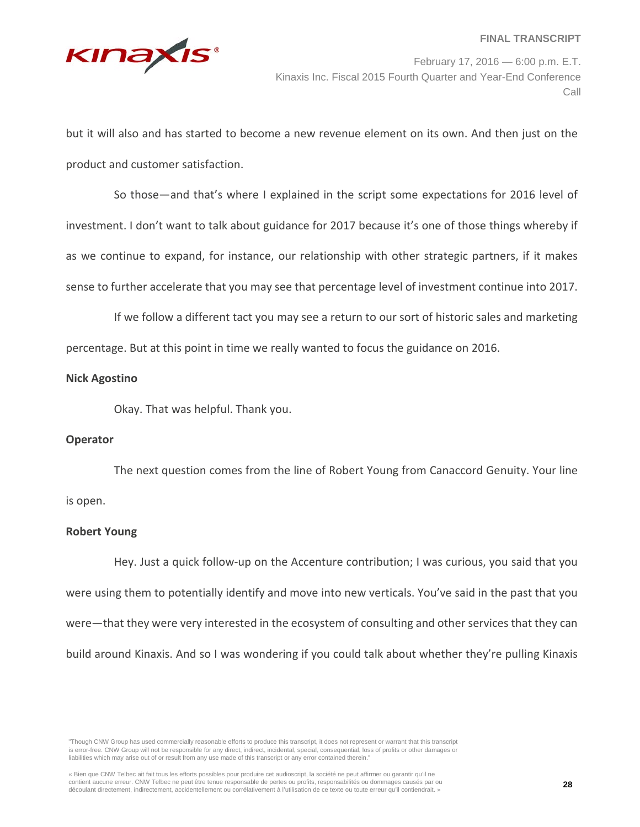

February 17, 2016 — 6:00 p.m. E.T. Kinaxis Inc. Fiscal 2015 Fourth Quarter and Year-End Conference Call

but it will also and has started to become a new revenue element on its own. And then just on the product and customer satisfaction.

So those—and that's where I explained in the script some expectations for 2016 level of investment. I don't want to talk about guidance for 2017 because it's one of those things whereby if as we continue to expand, for instance, our relationship with other strategic partners, if it makes sense to further accelerate that you may see that percentage level of investment continue into 2017.

If we follow a different tact you may see a return to our sort of historic sales and marketing percentage. But at this point in time we really wanted to focus the guidance on 2016.

# **Nick Agostino**

Okay. That was helpful. Thank you.

#### **Operator**

The next question comes from the line of Robert Young from Canaccord Genuity. Your line is open.

#### **Robert Young**

Hey. Just a quick follow-up on the Accenture contribution; I was curious, you said that you were using them to potentially identify and move into new verticals. You've said in the past that you were—that they were very interested in the ecosystem of consulting and other services that they can build around Kinaxis. And so I was wondering if you could talk about whether they're pulling Kinaxis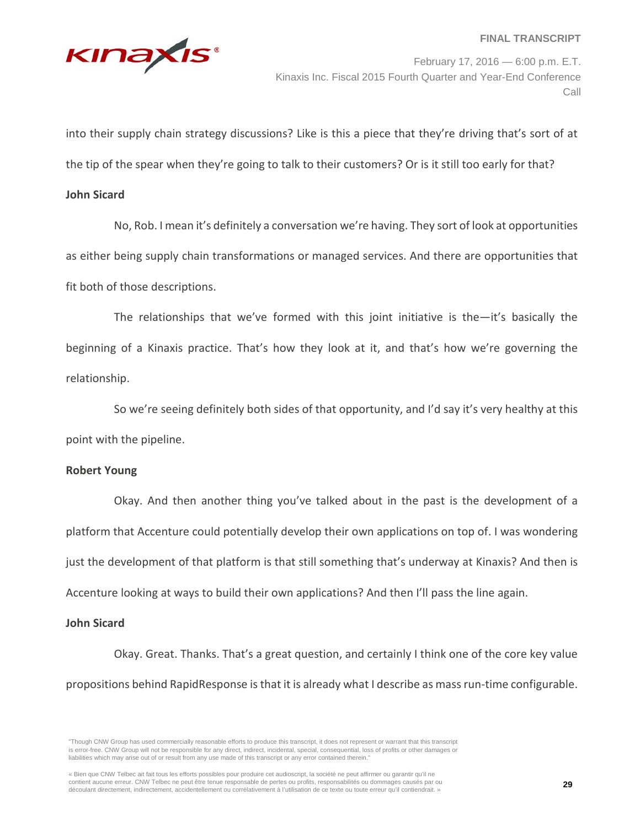

February 17, 2016 — 6:00 p.m. E.T. Kinaxis Inc. Fiscal 2015 Fourth Quarter and Year-End Conference Call

into their supply chain strategy discussions? Like is this a piece that they're driving that's sort of at

the tip of the spear when they're going to talk to their customers? Or is it still too early for that?

### **John Sicard**

No, Rob. I mean it's definitely a conversation we're having. They sort of look at opportunities as either being supply chain transformations or managed services. And there are opportunities that fit both of those descriptions.

The relationships that we've formed with this joint initiative is the—it's basically the beginning of a Kinaxis practice. That's how they look at it, and that's how we're governing the relationship.

So we're seeing definitely both sides of that opportunity, and I'd say it's very healthy at this point with the pipeline.

#### **Robert Young**

Okay. And then another thing you've talked about in the past is the development of a platform that Accenture could potentially develop their own applications on top of. I was wondering just the development of that platform is that still something that's underway at Kinaxis? And then is Accenture looking at ways to build their own applications? And then I'll pass the line again.

#### **John Sicard**

Okay. Great. Thanks. That's a great question, and certainly I think one of the core key value propositions behind RapidResponse is that it is already what I describe as mass run-time configurable.

<sup>&</sup>quot;Though CNW Group has used commercially reasonable efforts to produce this transcript, it does not represent or warrant that this transcript is error-free. CNW Group will not be responsible for any direct, indirect, incidental, special, consequential, loss of profits or other damages or liabilities which may arise out of or result from any use made of this transcript or any error contained therein."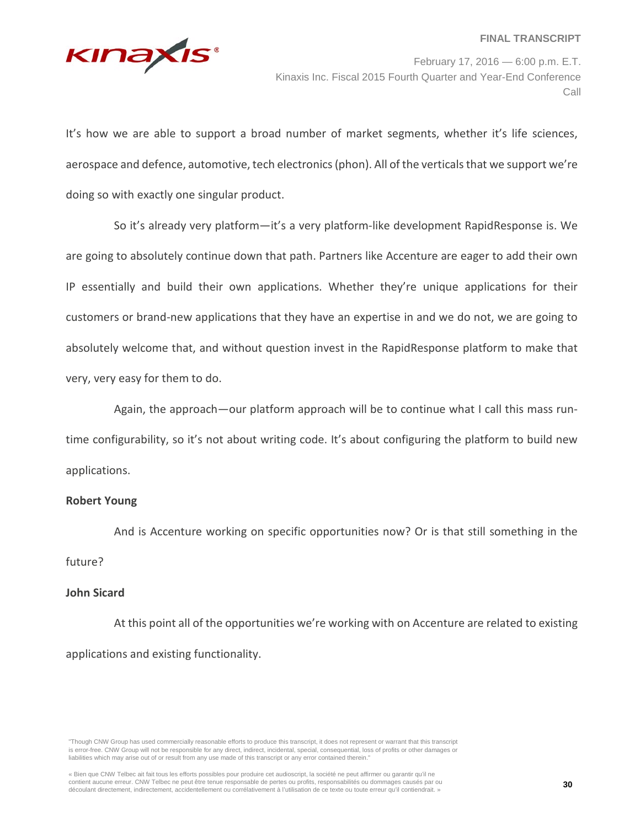

February 17, 2016 — 6:00 p.m. E.T. Kinaxis Inc. Fiscal 2015 Fourth Quarter and Year-End Conference Call

It's how we are able to support a broad number of market segments, whether it's life sciences, aerospace and defence, automotive, tech electronics (phon). All of the verticals that we support we're doing so with exactly one singular product.

So it's already very platform—it's a very platform-like development RapidResponse is. We are going to absolutely continue down that path. Partners like Accenture are eager to add their own IP essentially and build their own applications. Whether they're unique applications for their customers or brand-new applications that they have an expertise in and we do not, we are going to absolutely welcome that, and without question invest in the RapidResponse platform to make that very, very easy for them to do.

Again, the approach—our platform approach will be to continue what I call this mass runtime configurability, so it's not about writing code. It's about configuring the platform to build new applications.

#### **Robert Young**

And is Accenture working on specific opportunities now? Or is that still something in the future?

# **John Sicard**

At this point all of the opportunities we're working with on Accenture are related to existing applications and existing functionality.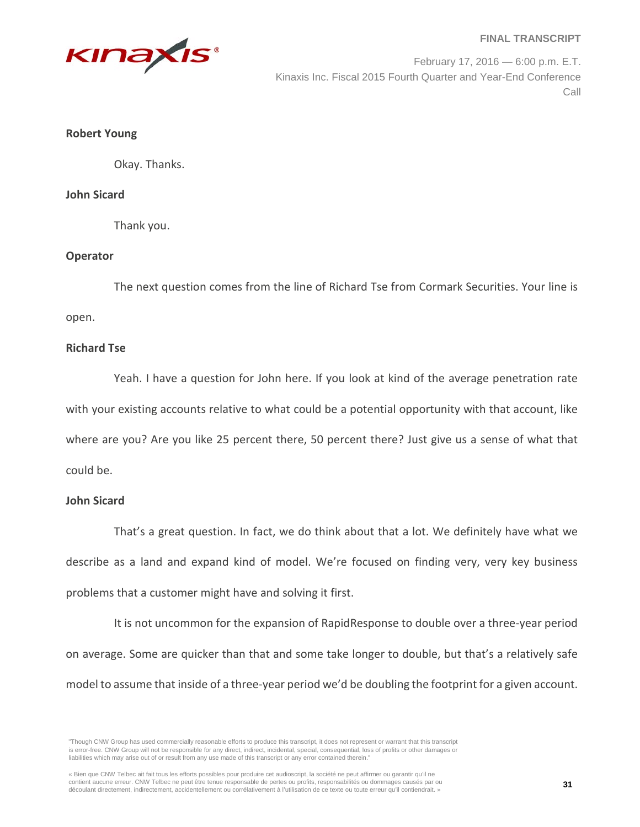

February 17, 2016 — 6:00 p.m. E.T. Kinaxis Inc. Fiscal 2015 Fourth Quarter and Year-End Conference Call

### **Robert Young**

Okay. Thanks.

### **John Sicard**

Thank you.

# **Operator**

The next question comes from the line of Richard Tse from Cormark Securities. Your line is open.

### **Richard Tse**

Yeah. I have a question for John here. If you look at kind of the average penetration rate with your existing accounts relative to what could be a potential opportunity with that account, like where are you? Are you like 25 percent there, 50 percent there? Just give us a sense of what that could be.

# **John Sicard**

That's a great question. In fact, we do think about that a lot. We definitely have what we describe as a land and expand kind of model. We're focused on finding very, very key business problems that a customer might have and solving it first.

It is not uncommon for the expansion of RapidResponse to double over a three-year period on average. Some are quicker than that and some take longer to double, but that's a relatively safe model to assume that inside of a three-year period we'd be doubling the footprint for a given account.

<sup>&</sup>quot;Though CNW Group has used commercially reasonable efforts to produce this transcript, it does not represent or warrant that this transcript is error-free. CNW Group will not be responsible for any direct, indirect, incidental, special, consequential, loss of profits or other damages or liabilities which may arise out of or result from any use made of this transcript or any error contained therein."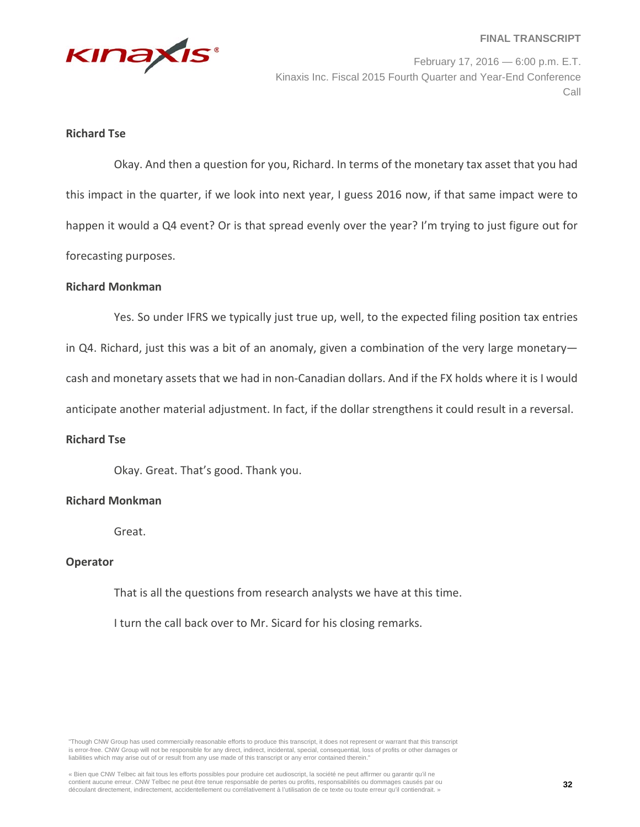

February 17, 2016 — 6:00 p.m. E.T. Kinaxis Inc. Fiscal 2015 Fourth Quarter and Year-End Conference Call

# **Richard Tse**

Okay. And then a question for you, Richard. In terms of the monetary tax asset that you had this impact in the quarter, if we look into next year, I guess 2016 now, if that same impact were to happen it would a Q4 event? Or is that spread evenly over the year? I'm trying to just figure out for forecasting purposes.

### **Richard Monkman**

Yes. So under IFRS we typically just true up, well, to the expected filing position tax entries in Q4. Richard, just this was a bit of an anomaly, given a combination of the very large monetary cash and monetary assets that we had in non-Canadian dollars. And if the FX holds where it is I would anticipate another material adjustment. In fact, if the dollar strengthens it could result in a reversal.

### **Richard Tse**

Okay. Great. That's good. Thank you.

# **Richard Monkman**

Great.

# **Operator**

That is all the questions from research analysts we have at this time.

I turn the call back over to Mr. Sicard for his closing remarks.